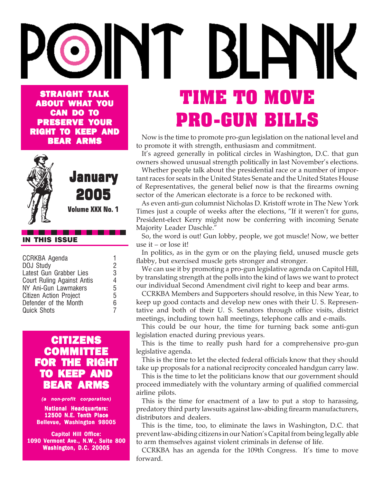## BLETTIK STRAIGHT TALK **TIME TO MOVE** ABOUT WHAT YOU CAN DO TO **PRO-GUN BILLS** PRESERVE YOUR RIGHT TO KEEP AND

Now is the time to promote pro-gun legislation on the national level and to promote it with strength, enthusiasm and commitment.

It's agreed generally in political circles in Washington, D.C. that gun owners showed unusual strength politically in last November's elections.

Whether people talk about the presidential race or a number of important races for seats in the United States Senate and the United States House of Representatives, the general belief now is that the firearms owning sector of the American electorate is a force to be reckoned with.

As even anti-gun columnist Nicholas D. Kristoff wrote in The New York Times just a couple of weeks after the elections, "If it weren't for guns, President-elect Kerry might now be conferring with incoming Senate Majority Leader Daschle."

So, the word is out! Gun lobby, people, we got muscle! Now, we better use it – or lose it!

In politics, as in the gym or on the playing field, unused muscle gets flabby, but exercised muscle gets stronger and stronger.

We can use it by promoting a pro-gun legislative agenda on Capitol Hill, by translating strength at the polls into the kind of laws we want to protect our individual Second Amendment civil right to keep and bear arms.

CCRKBA Members and Supporters should resolve, in this New Year, to keep up good contacts and develop new ones with their U. S. Representative and both of their U. S. Senators through office visits, district meetings, including town hall meetings, telephone calls and e-mails.

This could be our hour, the time for turning back some anti-gun legislation enacted during previous years.

This is the time to really push hard for a comprehensive pro-gun legislative agenda.

This is the time to let the elected federal officials know that they should take up proposals for a national reciprocity concealed handgun carry law.

This is the time to let the politicians know that our government should proceed immediately with the voluntary arming of qualified commercial airline pilots.

This is the time for enactment of a law to put a stop to harassing, predatory third party lawsuits against law-abiding firearm manufacturers, distributors and dealers.

This is the time, too, to eliminate the laws in Washington, D.C. that prevent law-abiding citizens in our Nation's Capital from being legally able to arm themselves against violent criminals in defense of life.

CCRKBA has an agenda for the 109th Congress. It's time to move forward.

## . . . . .

|  | <b>IN THIS ISSUE</b> |
|--|----------------------|
|  |                      |

| <b>CCRKBA Agenda</b>          |   |
|-------------------------------|---|
| DOJ Study                     | 2 |
| Latest Gun Grabber Lies       | 3 |
| Court Ruling Against Antis    | 4 |
| NY Ani-Gun Lawmakers          | 5 |
| <b>Citizen Action Project</b> |   |
| Defender of the Month         | 6 |
| <b>Quick Shots</b>            | 7 |
|                               |   |

BEAR ARMS

January January

2005

**Volume XXX No. 1**

### CITIZENS **COMMITTEE** FOR THE RIGHT TO KEEP AND BEAR ARMS

### *(a non-profit corporation)*

**National Headquarters:** 12500 N.E. Tenth Place Bellevue, Washington 98005

**Capitol Hill Office:** 1090 Vermont Ave., N.W., Suite 800 Washington, D.C. 20005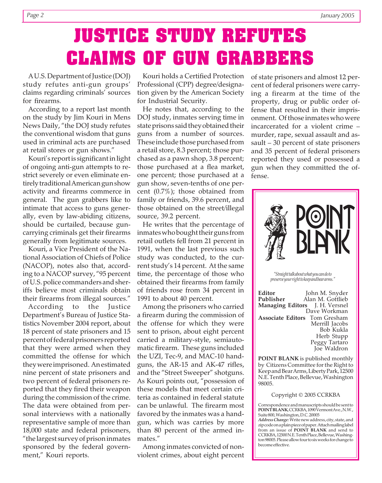# **JUSTICE STUDY REFUTES CLAIMS OF GUN GRABBERS**

A U.S. Department of Justice (DOJ) study refutes anti-gun groups' claims regarding criminals' sources for firearms.

According to a report last month on the study by Jim Kouri in Mens News Daily, "the DOJ study refutes the conventional wisdom that guns used in criminal acts are purchased at retail stores or gun shows."

Kouri's report is significant in light of ongoing anti-gun attempts to restrict severely or even eliminate entirely traditional American gun show activity and firearms commerce in general. The gun grabbers like to intimate that access to guns generally, even by law-abiding citizens, should be curtailed, because guncarrying criminals get their firearms generally from legitimate sources.

Kouri, a Vice President of the National Association of Chiefs of Police (NACOP), notes also that, according to a NACOP survey, "95 percent of U.S. police commanders and sheriffs believe most criminals obtain their firearms from illegal sources."

According to the Justice Department's Bureau of Justice Statistics November 2004 report, about 18 percent of state prisoners and 15 percent of federal prisoners reported that they were armed when they committed the offense for which they were imprisoned. An estimated nine percent of state prisoners and two percent of federal prisoners reported that they fired their weapon during the commission of the crime. The data were obtained from personal interviews with a nationally representative sample of more than 18,000 state and federal prisoners, "the largest survey of prison inmates sponsored by the federal government," Kouri reports.

Kouri holds a Certified Protection Professional (CPP) degree/designation given by the American Society for Industrial Security.

He notes that, according to the DOJ study, inmates serving time in state prisons said they obtained their guns from a number of sources. These include those purchased from a retail store, 8.3 percent; those purchased as a pawn shop, 3.8 percent; those purchased at a flea market, one percent; those purchased at a gun show, seven-tenths of one percent (0.7%); those obtained from family or friends, 39.6 percent, and those obtained on the street/illegal source, 39.2 percent.

He writes that the percentage of inmates who bought their guns from retail outlets fell from 21 percent in 1991, when the last previous such study was conducted, to the current study's 14 percent. At the same time, the percentage of those who obtained their firearms from family of friends rose from 34 percent in 1991 to about 40 percent.

Among the prisoners who carried a firearm during the commission of the offense for which they were sent to prison, about eight percent carried a military-style, semiautomatic firearm. These guns included the UZI, Tec-9, and MAC-10 handguns, the AR-15 and AK-47 rifles, and the "Street Sweeper" shotguns. As Kouri points out, "possession of these models that meet certain criteria as contained in federal statute can be unlawful. The firearm most favored by the inmates was a handgun, which was carries by more than 80 percent of the armed inmates."

Among inmates convicted of nonviolent crimes, about eight percent

of state prisoners and almost 12 percent of federal prisoners were carrying a firearm at the time of the property, drug or public order offense that resulted in their imprisonment. Of those inmates who were incarcerated for a violent crime – murder, rape, sexual assault and assault – 30 percent of state prisoners and 35 percent of federal prisoners reported they used or possessed a gun when they committed the offense.



by Citizens Committee for the Right to Keep and Bear Arms, Liberty Park, 12500 N.E. Tenth Place, Bellevue, Washington 98005.

### Copyright © 2005 CCRKBA

Correspondence and manuscripts should be sent to **POINT BLANK**, CCRKBA, 1090 Vermont Ave., N.W., Suite 800, Washington, D.C. 20005

*Address Change:* Write new address, city, state, and zip code on a plain piece of paper. Attach mailing label from an issue of **POINT BLANK** and send to CCRKBA, 12500 N.E. Tenth Place, Bellevue, Washington 98005. Please allow four to six weeks for change to become effective.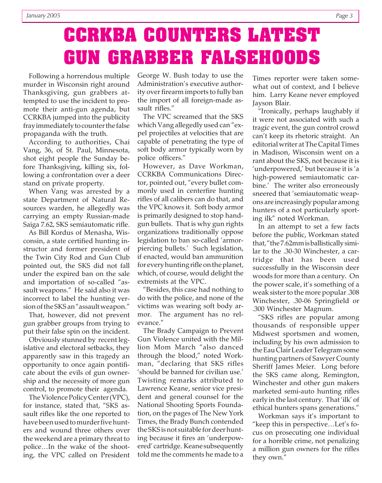## **CCRKBA COUNTERS LATEST GUN GRABBER FALSEHOODS**

Following a horrendous multiple murder in Wisconsin right around Thanksgiving, gun grabbers attempted to use the incident to promote their anti-gun agenda, but CCRKBA jumped into the publicity fray immediately to counter the false propaganda with the truth.

According to authorities, Chai Vang, 36, of St. Paul, Minnesota, shot eight people the Sunday before Thanksgiving, killing six, following a confrontation over a deer stand on private property.

When Vang was arrested by a state Department of Natural Resources warden, he allegedly was carrying an empty Russian-made Saiga 7.62, SKS semiautomatic rifle.

As Bill Kordus of Menasha, Wisconsin, a state certified hunting instructor and former president of the Twin City Rod and Gun Club pointed out, the SKS did not fall under the expired ban on the sale and importation of so-called "assault weapons." He said also it was incorrect to label the hunting version of the SKS an "assault weapon."

That, however, did not prevent gun grabber groups from trying to put their false spin on the incident.

Obviously stunned by recent legislative and electoral setbacks, they apparently saw in this tragedy an opportunity to once again pontificate about the evils of gun ownership and the necessity of more gun control, to promote their agenda.

The Violence Policy Center (VPC), for instance, stated that, "SKS assault rifles like the one reported to have been used to murder five hunters and wound three others over the weekend are a primary threat to police…In the wake of the shooting, the VPC called on President

George W. Bush today to use the Administration's executive authority over firearm imports to fully ban the import of all foreign-made assault rifles."

The VPC screamed that the SKS which Vang allegedly used can "expel projectiles at velocities that are capable of penetrating the type of soft body armor typically worn by police officers."

However, as Dave Workman, CCRKBA Communications Director, pointed out, "every bullet commonly used in centerfire hunting rifles of all calibers can do that, and the VPC knows it. Soft body armor is primarily designed to stop handgun bullets. That is why gun rights organizations traditionally oppose legislation to ban so-called 'armorpiercing bullets.' Such legislation, if enacted, would ban ammunition for every hunting rifle on the planet, which, of course, would delight the extremists at the VPC.

"Besides, this case had nothing to do with the police, and none of the victims was wearing soft body armor. The argument has no relevance."

The Brady Campaign to Prevent Gun Violence united with the Million Mom March "also danced through the blood," noted Workman, "declaring that SKS rifles 'should be banned for civilian use.' Twisting remarks attributed to Lawrence Keane, senior vice president and general counsel for the National Shooting Sports Foundation, on the pages of The New York Times, the Brady Bunch contended the SKS is not suitable for deer hunting because it fires an 'underpowered' cartridge. Keane subsequently told me the comments he made to a

Times reporter were taken somewhat out of context, and I believe him. Larry Keane never employed Jayson Blair.

"Ironically, perhaps laughably if it were not associated with such a tragic event, the gun control crowd can't keep its rhetoric straight. An editorial writer at The Capital Times in Madison, Wisconsin went on a rant about the SKS, not because it is 'underpowered,' but because it is 'a high-powered semiautomatic carbine.' The writer also erroneously sneered that 'semiautomatic weapons are increasingly popular among hunters of a not particularly sporting ilk" noted Workman.

In an attempt to set a few facts before the public, Workman stated that, "the 7.62mm is ballistically similar to the .30-30 Winchester, a cartridge that has been used successfully in the Wisconsin deer woods for more than a century. On the power scale, it's something of a weak sister to the more popular .308 Winchester, .30-06 Springfield or .300 Winchester Magnum.

"SKS rifles are popular among thousands of responsible upper Midwest sportsmen and women, including by his own admission to the Eau Clair Leader Telegram some hunting partners of Sawyer County Sheriff James Meier. Long before the SKS came along, Remington, Winchester and other gun makers marketed semi-auto hunting rifles early in the last century. That 'ilk' of ethical hunters spans generations."

Workman says it's important to "keep this in perspective…Let's focus on prosecuting one individual for a horrible crime, not penalizing a million gun owners for the rifles they own."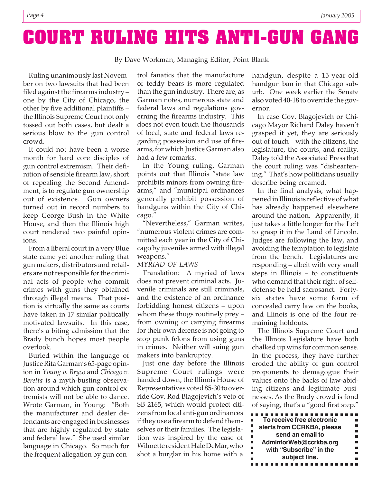## **COURT RULING HITS ANTI-GUN GANG**

By Dave Workman, Managing Editor, Point Blank

Ruling unanimously last November on two lawsuits that had been filed against the firearms industry – one by the City of Chicago, the other by five additional plaintiffs – the Illinois Supreme Court not only tossed out both cases, but dealt a serious blow to the gun control crowd.

It could not have been a worse month for hard core disciples of gun control extremism. Their definition of sensible firearm law, short of repealing the Second Amendment, is to regulate gun ownership out of existence. Gun owners turned out in record numbers to keep George Bush in the White House, and then the Illinois high court rendered two painful opinions.

From a liberal court in a very Blue state came yet another ruling that gun makers, distributors and retailers are not responsible for the criminal acts of people who commit crimes with guns they obtained through illegal means. That position is virtually the same as courts have taken in 17 similar politically motivated lawsuits. In this case, there's a biting admission that the Brady bunch hopes most people overlook.

Buried within the language of Justice Rita Garman's 65-page opinion in *Young v. Bryco* and *Chicago v. Beretta* is a myth-busting observation around which gun control extremists will not be able to dance. Wrote Garman, in Young: "Both the manufacturer and dealer defendants are engaged in businesses that are highly regulated by state and federal law." She used similar language in Chicago. So much for the frequent allegation by gun control fanatics that the manufacture of teddy bears is more regulated than the gun industry. There are, as Garman notes, numerous state and federal laws and regulations governing the firearms industry. This does not even touch the thousands of local, state and federal laws regarding possession and use of firearms, for which Justice Garman also had a few remarks.

In the Young ruling, Garman points out that Illinois "state law prohibits minors from owning firearms," and "municipal ordinances generally prohibit possession of handguns within the City of Chicago."

"Nevertheless," Garman writes, "numerous violent crimes are committed each year in the City of Chicago by juveniles armed with illegal weapons."

### *MYRIAD OF LAWS*

Translation: A myriad of laws does not prevent criminal acts. Juvenile criminals are still criminals, and the existence of an ordinance forbidding honest citizens – upon whom these thugs routinely prey – from owning or carrying firearms for their own defense is not going to stop punk felons from using guns in crimes. Neither will suing gun makers into bankruptcy.

Just one day before the Illinois Supreme Court rulings were handed down, the Illinois House of Representatives voted 85-30 to override Gov. Rod Blagojevich's veto of SB 2165, which would protect citizens from local anti-gun ordinances if they use a firearm to defend themselves or their families. The legislation was inspired by the case of Wilmette resident Hale DeMar, who shot a burglar in his home with a

handgun, despite a 15-year-old handgun ban in that Chicago suburb. One week earlier the Senate also voted 40-18 to override the governor.

In case Gov. Blagojevich or Chicago Mayor Richard Daley haven't grasped it yet, they are seriously out of touch – with the citizens, the legislature, the courts, and reality. Daley told the Associated Press that the court ruling was "disheartening." That's how politicians usually describe being creamed.

In the final analysis, what happened in Illinois is reflective of what has already happened elsewhere around the nation. Apparently, it just takes a little longer for the Left to grasp it in the Land of Lincoln. Judges are following the law, and avoiding the temptation to legislate from the bench. Legislatures are responding – albeit with very small steps in Illinois – to constituents who demand that their right of selfdefense be held sacrosanct. Fortysix states have some form of concealed carry law on the books, and Illinois is one of the four remaining holdouts.

The Illinois Supreme Court and the Illinois Legislature have both chalked up wins for common sense. In the process, they have further eroded the ability of gun control proponents to demagogue their values onto the backs of law-abiding citizens and legitimate businesses. As the Brady crowd is fond of saying, that's a "good first step."

| To receive free electronic |  |
|----------------------------|--|
| alerts from CCRKBA, please |  |
| send an email to           |  |
| AdminforWeb@ccrkba.org     |  |
| with "Subscribe" in the    |  |
| subject line.              |  |
|                            |  |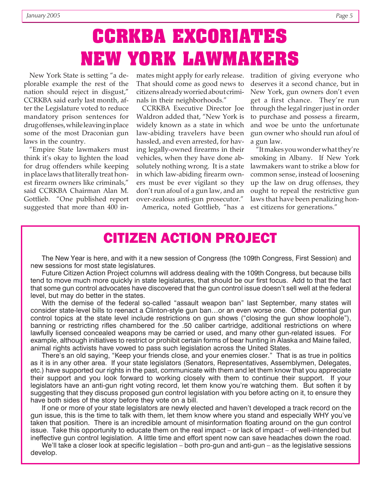## **CCRKBA EXCORIATES NEW YORK LAWMAKERS**

New York State is setting "a deplorable example the rest of the nation should reject in disgust," CCRKBA said early last month, after the Legislature voted to reduce mandatory prison sentences for drug offenses, while leaving in place some of the most Draconian gun laws in the country.

"Empire State lawmakers must think it's okay to lighten the load for drug offenders while keeping in place laws that literally treat honest firearm owners like criminals," said CCRKBA Chairman Alan M. Gottlieb. "One published report suggested that more than 400 in-

mates might apply for early release. tradition of giving everyone who That should come as good news to citizens already worried about criminals in their neighborhoods."

CCRKBA Executive Director Joe Waldron added that, "New York is widely known as a state in which law-abiding travelers have been hassled, and even arrested, for having legally-owned firearms in their vehicles, when they have done absolutely nothing wrong. It is a state in which law-abiding firearm owners must be ever vigilant so they don't run afoul of a gun law, and an over-zealous anti-gun prosecutor."

America, noted Gottlieb, "has a

deserves it a second chance, but in New York, gun owners don't even get a first chance. They're run through the legal ringer just in order to purchase and possess a firearm, and woe be unto the unfortunate gun owner who should run afoul of a gun law.

"It makes you wonder what they're smoking in Albany. If New York lawmakers want to strike a blow for common sense, instead of loosening up the law on drug offenses, they ought to repeal the restrictive gun laws that have been penalizing honest citizens for generations."

## **CITIZEN ACTION PROJECT**

The New Year is here, and with it a new session of Congress (the 109th Congress, First Session) and new sessions for most state legislatures.

Future Citizen Action Project columns will address dealing with the 109th Congress, but because bills tend to move much more quickly in state legislatures, that should be our first focus. Add to that the fact that some gun control advocates have discovered that the gun control issue doesn't sell well at the federal level, but may do better in the states.

With the demise of the federal so-called "assault weapon ban" last September, many states will consider state-level bills to reenact a Clinton-style gun ban…or an even worse one. Other potential gun control topics at the state level include restrictions on gun shows ("closing the gun show loophole"), banning or restricting rifles chambered for the .50 caliber cartridge, additional restrictions on where lawfully licensed concealed weapons may be carried or used, and many other gun-related issues. For example, although initiatives to restrict or prohibit certain forms of bear hunting in Alaska and Maine failed, animal rights activists have vowed to pass such legislation across the United States.

There's an old saying, "Keep your friends close, and your enemies closer." That is as true in politics as it is in any other area. If your state legislators (Senators, Representatives, Assemblymen, Delegates, etc.) have supported our rights in the past, communicate with them and let them know that you appreciate their support and you look forward to working closely with them to continue their support. If your legislators have an anti-gun right voting record, let them know you're watching them. But soften it by suggesting that they discuss proposed gun control legislation with you before acting on it, to ensure they have both sides of the story before they vote on a bill.

If one or more of your state legislators are newly elected and haven't developed a track record on the gun issue, this is the time to talk with them, let them know where you stand and especially WHY you've taken that position. There is an incredible amount of misinformation floating around on the gun control issue. Take this opportunity to educate them on the real impact – or lack of impact – of well-intended but ineffective gun control legislation. A little time and effort spent now can save headaches down the road.

We'll take a closer look at specific legislation – both pro-gun and anti-gun – as the legislative sessions develop.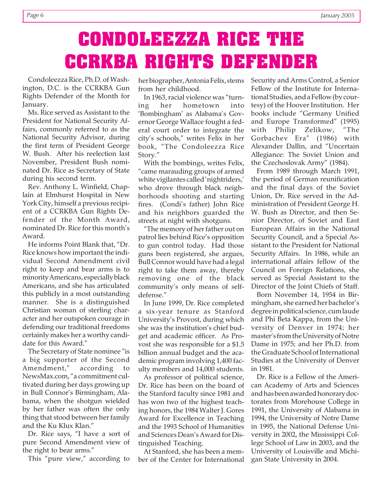# **CONDOLEEZZA RICE THE CCRKBA RIGHTS DEFENDER**

Condoleezza Rice, Ph.D. of Washington, D.C. is the CCRKBA Gun Rights Defender of the Month for January.

Ms. Rice served as Assistant to the President for National Security Affairs, commonly referred to as the National Security Advisor, during the first term of President George W. Bush. After his reelection last November, President Bush nominated Dr. Rice as Secretary of State during his second term.

Rev. Anthony L. Winfield, Chaplain at Elmhurst Hospital in New York City, himself a previous recipient of a CCRKBA Gun Rights Defender of the Month Award, nominated Dr. Rice for this month's Award.

He informs Point Blank that, "Dr. Rice knows how important the individual Second Amendment civil right to keep and bear arms is to minority Americans, especially black Americans, and she has articulated this publicly in a most outstanding manner. She is a distinguished Christian woman of sterling character and her outspoken courage in defending our traditional freedoms certainly makes her a worthy candidate for this Award."

The Secretary of State nominee "is a big supporter of the Second Amendment," according to NewsMax.com, "a commitment cultivated during her days growing up in Bull Connor's Birmingham, Alabama, when the shotgun wielded by her father was often the only thing that stood between her family and the Ku Klux Klan."

Dr. Rice says, "I have a sort of pure Second Amendment view of the right to bear arms."

This "pure view," according to

her biographer, Antonia Felix, stems from her childhood.

In 1963, racial violence was "turning her hometown into 'Bombingham' as Alabama's Governor George Wallace fought a federal court order to integrate the city's schools," writes Felix in her book, "The Condoleezza Rice Story."

With the bombings, writes Felix, "came marauding groups of armed white vigilantes called 'nightriders,' who drove through black neighborhoods shooting and starting fires. (Condi's father) John Rice and his neighbors guarded the streets at night with shotguns.

"The memory of her father out on patrol lies behind Rice's opposition to gun control today. Had those guns been registered, she argues, Bull Connor would have had a legal right to take them away, thereby removing one of the black community's only means of selfdefense."

In June 1999, Dr. Rice completed a six-year tenure as Stanford University's Provost, during which she was the institution's chief budget and academic officer. As Provost she was responsible for a \$1.5 billion annual budget and the academic program involving 1,400 faculty members and 14,000 students.

As professor of political science, Dr. Rice has been on the board of the Stanford faculty since 1981 and has won two of the highest teaching honors, the 1984 Walter J. Gores Award for Excellence in Teaching and the 1993 School of Humanities and Sciences Dean's Award for Distinguished Teaching.

At Stanford, she has been a member of the Center for International Security and Arms Control, a Senior Fellow of the Institute for International Studies, and a Fellow (by courtesy) of the Hoover Institution. Her books include "Germany Unified and Europe Transformed" (1995) with Philip Zelikow, "The Gorbachev Era" (1986) with Alexander Dallin, and "Uncertain Allegiance: The Soviet Union and the Czechoslovak Army" (1984).

From 1989 through March 1991, the period of German reunification and the final days of the Soviet Union, Dr. Rice served in the Administration of President George H. W. Bush as Director, and then Senior Director, of Soviet and East European Affairs in the National Security Council, and a Special Assistant to the President for National Security Affairs. In 1986, while an international affairs fellow of the Council on Foreign Relations, she served as Special Assistant to the Director of the Joint Chiefs of Staff.

Born November 14, 1954 in Birmingham, she earned her bachelor's degree in political science, cum laude and Phi Beta Kappa, from the University of Denver in 1974; her master's from the University of Notre Dame in 1975; and her Ph.D. from the Graduate School of International Studies at the University of Denver in 1981.

Dr. Rice is a Fellow of the American Academy of Arts and Sciences and has been awarded honorary doctorates from Morehouse College in 1991, the University of Alabama in 1994, the University of Notre Dame in 1995, the National Defense University in 2002, the Mississippi College School of Law in 2003, and the University of Louisville and Michigan State University in 2004.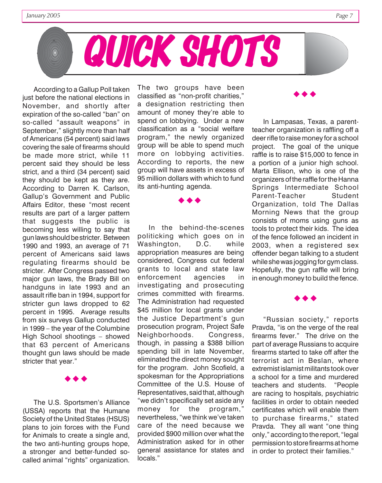

According to a Gallup Poll taken just before the national elections in November, and shortly after expiration of the so-called "ban" on so-called "assault weapons" in September," slightly more than half of Americans (54 percent) said laws covering the sale of firearms should be made more strict, while 11 percent said they should be less strict, and a third (34 percent) said they should be kept as they are. According to Darren K. Carlson, Gallup's Government and Public Affairs Editor, these "most recent results are part of a larger pattern that suggests the public is becoming less willing to say that gun laws should be stricter. Between 1990 and 1993, an average of 71 percent of Americans said laws regulating firearms should be stricter. After Congress passed two major gun laws, the Brady Bill on handguns in late 1993 and an assault rifle ban in 1994, support for stricter gun laws dropped to 62 percent in 1995. Average results from six surveys Gallup conducted in 1999 – the year of the Columbine High School shootings – showed that 63 percent of Americans thought gun laws should be made stricter that year."

 $\leftrightarrow$ 

The U.S. Sportsmen's Alliance (USSA) reports that the Humane Society of the United States (HSUS) plans to join forces with the Fund for Animals to create a single and, the two anti-hunting groups hope, a stronger and better-funded socalled animal "rights" organization. The two groups have been classified as "non-profit charities," a designation restricting then amount of money they're able to spend on lobbying. Under a new classification as a "social welfare program," the newly organized group will be able to spend much more on lobbying activities. According to reports, the new group will have assets in excess of 95 million dollars with which to fund its anti-hunting agenda.

 $\leftrightarrow$ 

In the behind-the-scenes politicking which goes on in Washington, D.C. while appropriation measures are being considered, Congress cut federal grants to local and state law enforcement agencies in investigating and prosecuting crimes committed with firearms. The Administration had requested \$45 million for local grants under the Justice Department's gun prosecution program, Project Safe Neighborhoods. Congress, though, in passing a \$388 billion spending bill in late November, eliminated the direct money sought for the program. John Scofield, a spokesman for the Appropriations Committee of the U.S. House of Representatives, said that, although "we didn't specifically set aside any money for the program," nevertheless, "we think we've taken care of the need because we provided \$900 million over what the Administration asked for in other general assistance for states and locals."

In Lampasas, Texas, a parentteacher organization is raffling off a deer rifle to raise money for a school project. The goal of the unique raffle is to raise \$15,000 to fence in a portion of a junior high school. Marta Ellison, who is one of the organizers of the raffle for the Hanna Springs Intermediate School Parent-Teacher Student Organization, told The Dallas Morning News that the group consists of moms using guns as tools to protect their kids. The idea of the fence followed an incident in 2003, when a registered sex offender began talking to a student while she was jogging for gym class. Hopefully, the gun raffle will bring in enough money to build the fence.

 $\leftrightarrow$ 

"Russian society," reports Pravda, "is on the verge of the real firearms fever." The drive on the part of average Russians to acquire firearms started to take off after the terrorist act in Beslan, where extremist islamist militants took over a school for a time and murdered teachers and students. "People are racing to hospitals, psychiatric facilities in order to obtain needed certificates which will enable them to purchase firearms," stated Pravda. They all want "one thing only," according to the report, "legal permission to store firearms at home in order to protect their families."

 $\leftrightarrow$